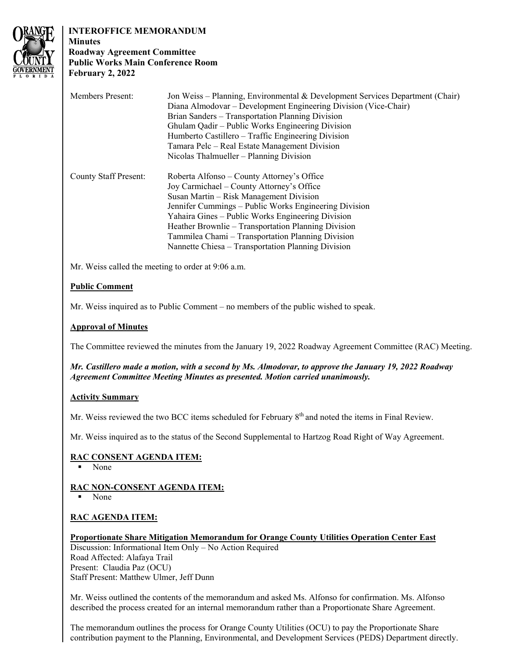

# **INTEROFFICE MEMORANDUM**

## **Minutes Roadway Agreement Committee Public Works Main Conference Room February 2, 2022**

| <b>Members Present:</b>                            | Jon Weiss – Planning, Environmental & Development Services Department (Chair)<br>Diana Almodovar – Development Engineering Division (Vice-Chair)<br>Brian Sanders - Transportation Planning Division<br>Ghulam Qadir - Public Works Engineering Division<br>Humberto Castillero – Traffic Engineering Division<br>Tamara Pelc – Real Estate Management Division<br>Nicolas Thalmueller – Planning Division         |
|----------------------------------------------------|--------------------------------------------------------------------------------------------------------------------------------------------------------------------------------------------------------------------------------------------------------------------------------------------------------------------------------------------------------------------------------------------------------------------|
| <b>County Staff Present:</b>                       | Roberta Alfonso – County Attorney's Office<br>Joy Carmichael – County Attorney's Office<br>Susan Martin – Risk Management Division<br>Jennifer Cummings – Public Works Engineering Division<br>Yahaira Gines – Public Works Engineering Division<br>Heather Brownlie – Transportation Planning Division<br>Tammilea Chami – Transportation Planning Division<br>Nannette Chiesa - Transportation Planning Division |
| Mr. Weiss called the meeting to order at 9:06 a.m. |                                                                                                                                                                                                                                                                                                                                                                                                                    |

# **Public Comment**

Mr. Weiss inquired as to Public Comment – no members of the public wished to speak.

## **Approval of Minutes**

The Committee reviewed the minutes from the January 19, 2022 Roadway Agreement Committee (RAC) Meeting.

## *Mr. Castillero made a motion, with a second by Ms. Almodovar, to approve the January 19, 2022 Roadway Agreement Committee Meeting Minutes as presented. Motion carried unanimously.*

## **Activity Summary**

Mr. Weiss reviewed the two BCC items scheduled for February 8<sup>th</sup> and noted the items in Final Review.

Mr. Weiss inquired as to the status of the Second Supplemental to Hartzog Road Right of Way Agreement.

## **RAC CONSENT AGENDA ITEM:**

None

## **RAC NON-CONSENT AGENDA ITEM:**

None

## **RAC AGENDA ITEM:**

## **Proportionate Share Mitigation Memorandum for Orange County Utilities Operation Center East**

Discussion: Informational Item Only – No Action Required Road Affected: Alafaya Trail Present: Claudia Paz (OCU) Staff Present: Matthew Ulmer, Jeff Dunn

Mr. Weiss outlined the contents of the memorandum and asked Ms. Alfonso for confirmation. Ms. Alfonso described the process created for an internal memorandum rather than a Proportionate Share Agreement.

The memorandum outlines the process for Orange County Utilities (OCU) to pay the Proportionate Share contribution payment to the Planning, Environmental, and Development Services (PEDS) Department directly.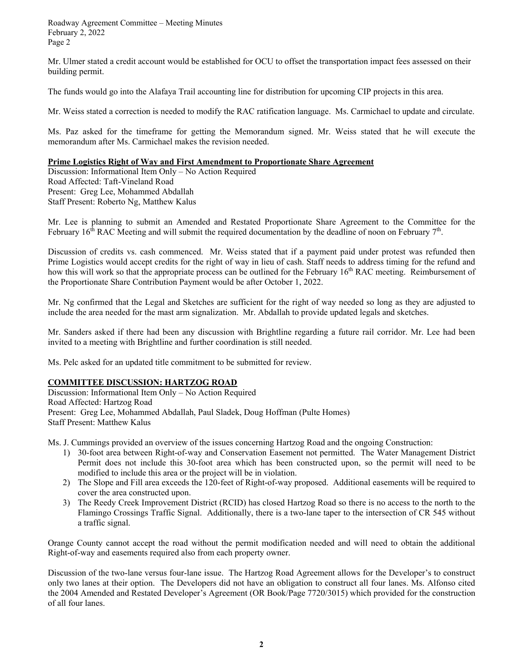February 2, 2022 Roadway Agreement Committee – Meeting Minutes Page 2

Mr. Ulmer stated a credit account would be established for OCU to offset the transportation impact fees assessed on their building permit.

The funds would go into the Alafaya Trail accounting line for distribution for upcoming CIP projects in this area.

Mr. Weiss stated a correction is needed to modify the RAC ratification language. Ms. Carmichael to update and circulate.

 memorandum after Ms. Carmichael makes the revision needed. Ms. Paz asked for the timeframe for getting the Memorandum signed. Mr. Weiss stated that he will execute the

#### **Prime Logistics Right of Way and First Amendment to Proportionate Share Agreement**

Discussion: Informational Item Only – No Action Required Road Affected: Taft-Vineland Road Present: Greg Lee, Mohammed Abdallah Staff Present: Roberto Ng, Matthew Kalus

Mr. Lee is planning to submit an Amended and Restated Proportionate Share Agreement to the Committee for the February 16<sup>th</sup> RAC Meeting and will submit the required documentation by the deadline of noon on February 7<sup>th</sup>.

Discussion of credits vs. cash commenced. Mr. Weiss stated that if a payment paid under protest was refunded then Prime Logistics would accept credits for the right of way in lieu of cash. Staff needs to address timing for the refund and how this will work so that the appropriate process can be outlined for the February 16<sup>th</sup> RAC meeting. Reimbursement of the Proportionate Share Contribution Payment would be after October 1, 2022.

Mr. Ng confirmed that the Legal and Sketches are sufficient for the right of way needed so long as they are adjusted to include the area needed for the mast arm signalization. Mr. Abdallah to provide updated legals and sketches.

 Mr. Sanders asked if there had been any discussion with Brightline regarding a future rail corridor. Mr. Lee had been invited to a meeting with Brightline and further coordination is still needed.

Ms. Pelc asked for an updated title commitment to be submitted for review.

#### **COMMITTEE DISCUSSION: HARTZOG ROAD**

Discussion: Informational Item Only – No Action Required Road Affected: Hartzog Road Present: Greg Lee, Mohammed Abdallah, Paul Sladek, Doug Hoffman (Pulte Homes) Staff Present: Matthew Kalus

Ms. J. Cummings provided an overview of the issues concerning Hartzog Road and the ongoing Construction:

- 1) 30-foot area between Right-of-way and Conservation Easement not permitted. The Water Management District Permit does not include this 30-foot area which has been constructed upon, so the permit will need to be modified to include this area or the project will be in violation.
- 2) The Slope and Fill area exceeds the 120-feet of Right-of-way proposed. Additional easements will be required to cover the area constructed upon.
- 3) The Reedy Creek Improvement District (RCID) has closed Hartzog Road so there is no access to the north to the Flamingo Crossings Traffic Signal. Additionally, there is a two-lane taper to the intersection of CR 545 without a traffic signal.

 Orange County cannot accept the road without the permit modification needed and will need to obtain the additional Right-of-way and easements required also from each property owner.

 Discussion of the two-lane versus four-lane issue. The Hartzog Road Agreement allows for the Developer's to construct only two lanes at their option. The Developers did not have an obligation to construct all four lanes. Ms. Alfonso cited the 2004 Amended and Restated Developer's Agreement (OR Book/Page 7720/3015) which provided for the construction of all four lanes.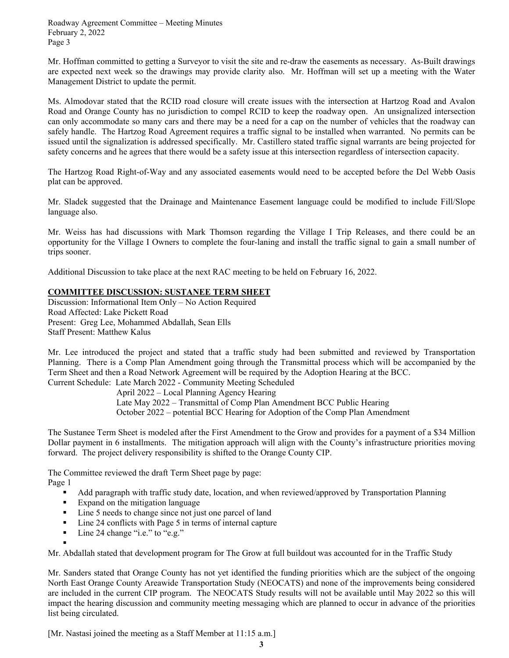February 2, 2022 Roadway Agreement Committee – Meeting Minutes Page 3

 are expected next week so the drawings may provide clarity also. Mr. Hoffman will set up a meeting with the Water Mr. Hoffman committed to getting a Surveyor to visit the site and re-draw the easements as necessary. As-Built drawings Management District to update the permit.

Ms. Almodovar stated that the RCID road closure will create issues with the intersection at Hartzog Road and Avalon Road and Orange County has no jurisdiction to compel RCID to keep the roadway open. An unsignalized intersection can only accommodate so many cars and there may be a need for a cap on the number of vehicles that the roadway can safely handle. The Hartzog Road Agreement requires a traffic signal to be installed when warranted. No permits can be issued until the signalization is addressed specifically. Mr. Castillero stated traffic signal warrants are being projected for safety concerns and he agrees that there would be a safety issue at this intersection regardless of intersection capacity.

The Hartzog Road Right-of-Way and any associated easements would need to be accepted before the Del Webb Oasis plat can be approved.

Mr. Sladek suggested that the Drainage and Maintenance Easement language could be modified to include Fill/Slope language also.

Mr. Weiss has had discussions with Mark Thomson regarding the Village I Trip Releases, and there could be an opportunity for the Village I Owners to complete the four-laning and install the traffic signal to gain a small number of trips sooner.

Additional Discussion to take place at the next RAC meeting to be held on February 16, 2022.

# **COMMITTEE DISCUSSION: SUSTANEE TERM SHEET**

Discussion: Informational Item Only – No Action Required Road Affected: Lake Pickett Road Present: Greg Lee, Mohammed Abdallah, Sean Ells Staff Present: Matthew Kalus

 Planning. There is a Comp Plan Amendment going through the Transmittal process which will be accompanied by the Mr. Lee introduced the project and stated that a traffic study had been submitted and reviewed by Transportation Term Sheet and then a Road Network Agreement will be required by the Adoption Hearing at the BCC.

Current Schedule: Late March 2022 - Community Meeting Scheduled

 April 2022 – Local Planning Agency Hearing Late May 2022 – Transmittal of Comp Plan Amendment BCC Public Hearing October 2022 – potential BCC Hearing for Adoption of the Comp Plan Amendment

 Dollar payment in 6 installments. The mitigation approach will align with the County's infrastructure priorities moving The Sustanee Term Sheet is modeled after the First Amendment to the Grow and provides for a payment of a \$34 Million forward. The project delivery responsibility is shifted to the Orange County CIP.

The Committee reviewed the draft Term Sheet page by page: Page 1

- Add paragraph with traffic study date, location, and when reviewed/approved by Transportation Planning
- **Expand on the mitigation language**
- Line 5 needs to change since not just one parcel of land
- Line 24 conflicts with Page 5 in terms of internal capture
- Line 24 change "i.e." to "e.g."

.

Mr. Abdallah stated that development program for The Grow at full buildout was accounted for in the Traffic Study

 impact the hearing discussion and community meeting messaging which are planned to occur in advance of the priorities Mr. Sanders stated that Orange County has not yet identified the funding priorities which are the subject of the ongoing North East Orange County Areawide Transportation Study (NEOCATS) and none of the improvements being considered are included in the current CIP program. The NEOCATS Study results will not be available until May 2022 so this will list being circulated.

[Mr. Nastasi joined the meeting as a Staff Member at 11:15 a.m.]